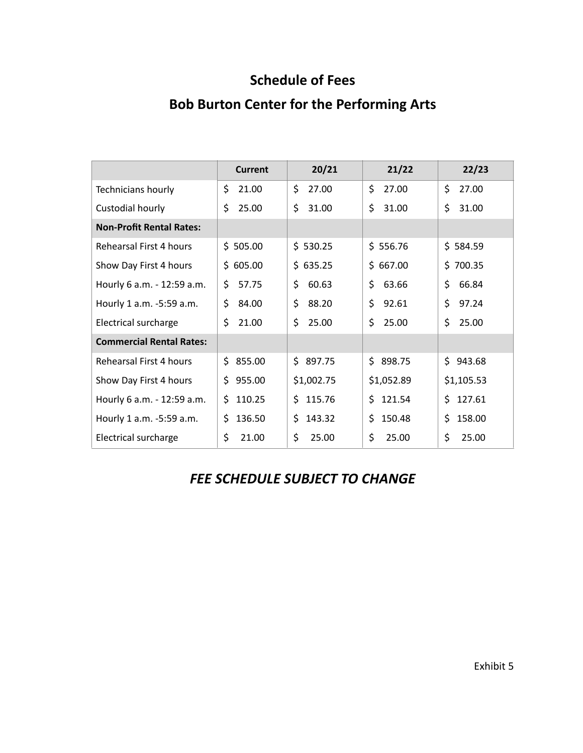## **Schedule of Fees**

# **Bob Burton Center for the Performing Arts**

|                                 | <b>Current</b> | 20/21        | 21/22      | 22/23      |
|---------------------------------|----------------|--------------|------------|------------|
| Technicians hourly              | \$             | \$           | \$         | \$         |
|                                 | 21.00          | 27.00        | 27.00      | 27.00      |
| Custodial hourly                | \$             | \$           | \$         | \$         |
|                                 | 25.00          | 31.00        | 31.00      | 31.00      |
| <b>Non-Profit Rental Rates:</b> |                |              |            |            |
| Rehearsal First 4 hours         | \$505.00       | \$530.25     | \$556.76   | \$584.59   |
| Show Day First 4 hours          | \$605.00       | \$635.25     | \$667.00   | \$700.35   |
| Hourly 6 a.m. - 12:59 a.m.      | 57.75          | \$           | \$         | \$         |
|                                 | \$             | 60.63        | 63.66      | 66.84      |
| Hourly 1 a.m. -5:59 a.m.        | \$             | \$           | \$         | \$         |
|                                 | 84.00          | 88.20        | 92.61      | 97.24      |
| Electrical surcharge            | Ś.             | \$           | \$         | Ś.         |
|                                 | 21.00          | 25.00        | 25.00      | 25.00      |
| <b>Commercial Rental Rates:</b> |                |              |            |            |
| Rehearsal First 4 hours         | Ś.<br>855.00   | Ś.<br>897.75 | \$898.75   | \$943.68   |
| Show Day First 4 hours          | 955.00<br>\$   | \$1,002.75   | \$1,052.89 | \$1,105.53 |
| Hourly 6 a.m. - 12:59 a.m.      | 110.25         | 115.76       | \$.        | 127.61     |
|                                 | Ŝ.             | \$.          | 121.54     | \$.        |
| Hourly 1 a.m. -5:59 a.m.        | 136.50         | \$           | \$         | Ś          |
|                                 | \$             | 143.32       | 150.48     | 158.00     |
| Electrical surcharge            | \$             | \$           | \$         | \$         |
|                                 | 21.00          | 25.00        | 25.00      | 25.00      |

# *FEE SCHEDULE SUBJECT TO CHANGE*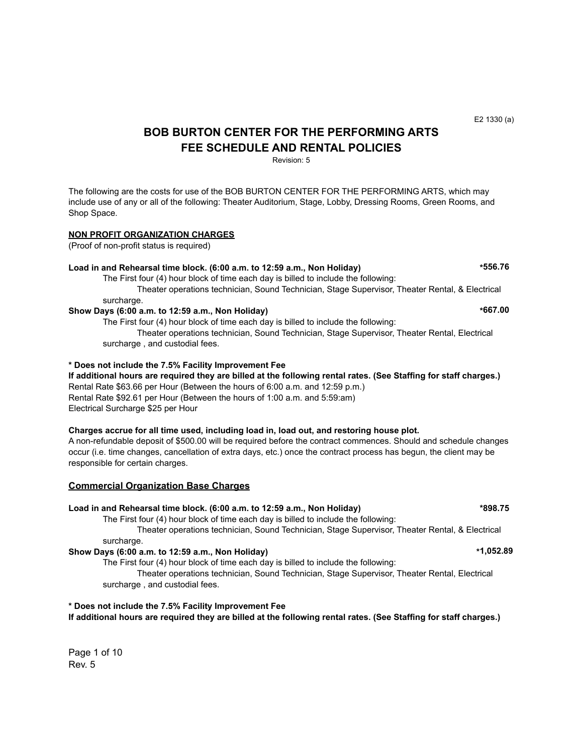## **BOB BURTON CENTER FOR THE PERFORMING ARTS FEE SCHEDULE AND RENTAL POLICIES**

Revision: 5

The following are the costs for use of the BOB BURTON CENTER FOR THE PERFORMING ARTS, which may include use of any or all of the following: Theater Auditorium, Stage, Lobby, Dressing Rooms, Green Rooms, and Shop Space.

#### **NON PROFIT ORGANIZATION CHARGES**

(Proof of non-profit status is required)

#### **Load in and Rehearsal time block. (6:00 a.m. to 12:59 a.m., Non Holiday) \*556.76**

The First four (4) hour block of time each day is billed to include the following: Theater operations technician, Sound Technician, Stage Supervisor, Theater Rental, & Electrical

surcharge.

**Show Days (6:00 a.m. to 12:59 a.m., Non Holiday) \*667.00** The First four (4) hour block of time each day is billed to include the following:

Theater operations technician, Sound Technician, Stage Supervisor, Theater Rental, Electrical surcharge , and custodial fees.

#### **\* Does not include the 7.5% Facility Improvement Fee**

**If additional hours are required they are billed at the following rental rates. (See Staffing for staff charges.)** Rental Rate \$63.66 per Hour (Between the hours of 6:00 a.m. and 12:59 p.m.) Rental Rate \$92.61 per Hour (Between the hours of 1:00 a.m. and 5:59:am) Electrical Surcharge \$25 per Hour

#### **Charges accrue for all time used, including load in, load out, and restoring house plot.**

A non-refundable deposit of \$500.00 will be required before the contract commences. Should and schedule changes occur (i.e. time changes, cancellation of extra days, etc.) once the contract process has begun, the client may be responsible for certain charges.

#### **Commercial Organization Base Charges**

#### **Load in and Rehearsal time block. (6:00 a.m. to 12:59 a.m., Non Holiday) \*898.75**

The First four (4) hour block of time each day is billed to include the following:

Theater operations technician, Sound Technician, Stage Supervisor, Theater Rental, & Electrical surcharge.

#### **Show Days (6:00 a.m. to 12:59 a.m., Non Holiday) \*1,052.89**

The First four (4) hour block of time each day is billed to include the following:

Theater operations technician, Sound Technician, Stage Supervisor, Theater Rental, Electrical surcharge , and custodial fees.

### **\* Does not include the 7.5% Facility Improvement Fee If additional hours are required they are billed at the following rental rates. (See Staffing for staff charges.)**

Page 1 of 10 Rev. 5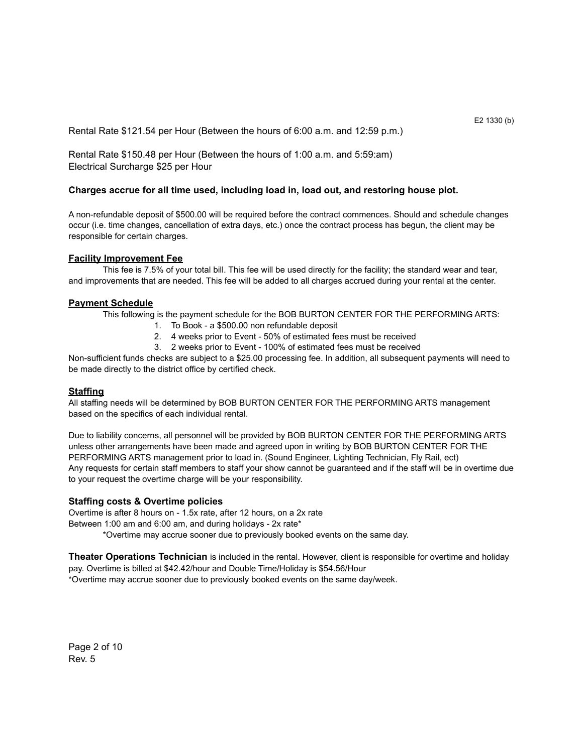Rental Rate \$121.54 per Hour (Between the hours of 6:00 a.m. and 12:59 p.m.)

Rental Rate \$150.48 per Hour (Between the hours of 1:00 a.m. and 5:59:am) Electrical Surcharge \$25 per Hour

#### **Charges accrue for all time used, including load in, load out, and restoring house plot.**

A non-refundable deposit of \$500.00 will be required before the contract commences. Should and schedule changes occur (i.e. time changes, cancellation of extra days, etc.) once the contract process has begun, the client may be responsible for certain charges.

#### **Facility Improvement Fee**

This fee is 7.5% of your total bill. This fee will be used directly for the facility; the standard wear and tear, and improvements that are needed. This fee will be added to all charges accrued during your rental at the center.

#### **Payment Schedule**

This following is the payment schedule for the BOB BURTON CENTER FOR THE PERFORMING ARTS:

- 1. To Book a \$500.00 non refundable deposit
- 2. 4 weeks prior to Event 50% of estimated fees must be received
- 3. 2 weeks prior to Event 100% of estimated fees must be received

Non-sufficient funds checks are subject to a \$25.00 processing fee. In addition, all subsequent payments will need to be made directly to the district office by certified check.

#### **Staffing**

All staffing needs will be determined by BOB BURTON CENTER FOR THE PERFORMING ARTS management based on the specifics of each individual rental.

Due to liability concerns, all personnel will be provided by BOB BURTON CENTER FOR THE PERFORMING ARTS unless other arrangements have been made and agreed upon in writing by BOB BURTON CENTER FOR THE PERFORMING ARTS management prior to load in. (Sound Engineer, Lighting Technician, Fly Rail, ect) Any requests for certain staff members to staff your show cannot be guaranteed and if the staff will be in overtime due to your request the overtime charge will be your responsibility.

#### **Staffing costs & Overtime policies**

Overtime is after 8 hours on - 1.5x rate, after 12 hours, on a 2x rate

Between 1:00 am and 6:00 am, and during holidays - 2x rate\*

\*Overtime may accrue sooner due to previously booked events on the same day.

**Theater Operations Technician** is included in the rental. However, client is responsible for overtime and holiday pay. Overtime is billed at \$42.42/hour and Double Time/Holiday is \$54.56/Hour \*Overtime may accrue sooner due to previously booked events on the same day/week.

Page 2 of 10 Rev. 5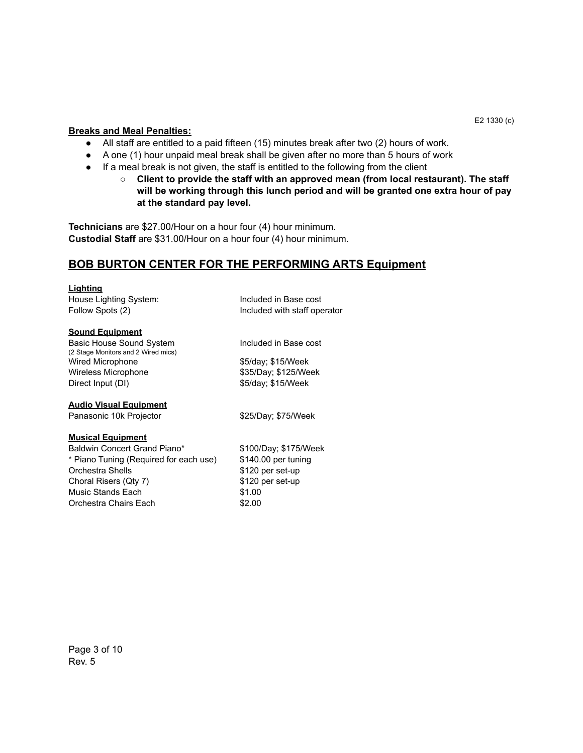#### **Breaks and Meal Penalties:**

- All staff are entitled to a paid fifteen (15) minutes break after two (2) hours of work.
- A one (1) hour unpaid meal break shall be given after no more than 5 hours of work
- If a meal break is not given, the staff is entitled to the following from the client
	- **○ Client to provide the staff with an approved mean (from local restaurant). The staff will be working through this lunch period and will be granted one extra hour of pay at the standard pay level.**

**Technicians** are \$27.00/Hour on a hour four (4) hour minimum. **Custodial Staff** are \$31.00/Hour on a hour four (4) hour minimum.

## **BOB BURTON CENTER FOR THE PERFORMING ARTS Equipment**

#### **Lighting**

House Lighting System: Included in Base cost Follow Spots (2) The Included with staff operator

#### **Sound Equipment**

Basic House Sound System Included in Base cost (2 Stage Monitors and 2 Wired mics) Wired Microphone  $$5/day$ ; \$15/Week Wireless Microphone  $$35/Day$ ; \$125/Week Direct Input (DI) \$5/day; \$15/Week

#### **Audio Visual Equipment**

Panasonic 10k Projector \$25/Day; \$75/Week

#### **Musical Equipment**

Baldwin Concert Grand Piano\* \$100/Day; \$175/Week \* Piano Tuning (Required for each use) \$140.00 per tuning Orchestra Shells **\$120** per set-up Choral Risers (Qty 7) \$120 per set-up Music Stands Each \$1.00 Orchestra Chairs Each  $$2.00$ 

E2 1330 (c)

Page 3 of 10 Rev. 5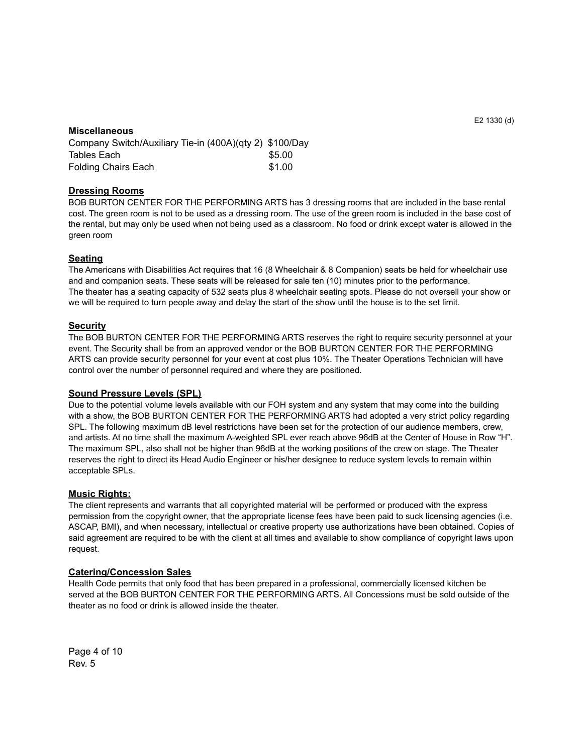#### E2 1330 (d)

#### **Miscellaneous**

Company Switch/Auxiliary Tie-in (400A)(qty 2) \$100/Day Tables Each  $\$5.00$ Folding Chairs Each \$1.00

#### **Dressing Rooms**

BOB BURTON CENTER FOR THE PERFORMING ARTS has 3 dressing rooms that are included in the base rental cost. The green room is not to be used as a dressing room. The use of the green room is included in the base cost of the rental, but may only be used when not being used as a classroom. No food or drink except water is allowed in the green room

#### **Seating**

The Americans with Disabilities Act requires that 16 (8 Wheelchair & 8 Companion) seats be held for wheelchair use and and companion seats. These seats will be released for sale ten (10) minutes prior to the performance. The theater has a seating capacity of 532 seats plus 8 wheelchair seating spots. Please do not oversell your show or we will be required to turn people away and delay the start of the show until the house is to the set limit.

#### **Security**

The BOB BURTON CENTER FOR THE PERFORMING ARTS reserves the right to require security personnel at your event. The Security shall be from an approved vendor or the BOB BURTON CENTER FOR THE PERFORMING ARTS can provide security personnel for your event at cost plus 10%. The Theater Operations Technician will have control over the number of personnel required and where they are positioned.

#### **Sound Pressure Levels (SPL)**

Due to the potential volume levels available with our FOH system and any system that may come into the building with a show, the BOB BURTON CENTER FOR THE PERFORMING ARTS had adopted a very strict policy regarding SPL. The following maximum dB level restrictions have been set for the protection of our audience members, crew, and artists. At no time shall the maximum A-weighted SPL ever reach above 96dB at the Center of House in Row "H". The maximum SPL, also shall not be higher than 96dB at the working positions of the crew on stage. The Theater reserves the right to direct its Head Audio Engineer or his/her designee to reduce system levels to remain within acceptable SPLs.

#### **Music Rights:**

The client represents and warrants that all copyrighted material will be performed or produced with the express permission from the copyright owner, that the appropriate license fees have been paid to suck licensing agencies (i.e. ASCAP, BMI), and when necessary, intellectual or creative property use authorizations have been obtained. Copies of said agreement are required to be with the client at all times and available to show compliance of copyright laws upon request.

#### **Catering/Concession Sales**

Health Code permits that only food that has been prepared in a professional, commercially licensed kitchen be served at the BOB BURTON CENTER FOR THE PERFORMING ARTS. All Concessions must be sold outside of the theater as no food or drink is allowed inside the theater.

Page 4 of 10 Rev. 5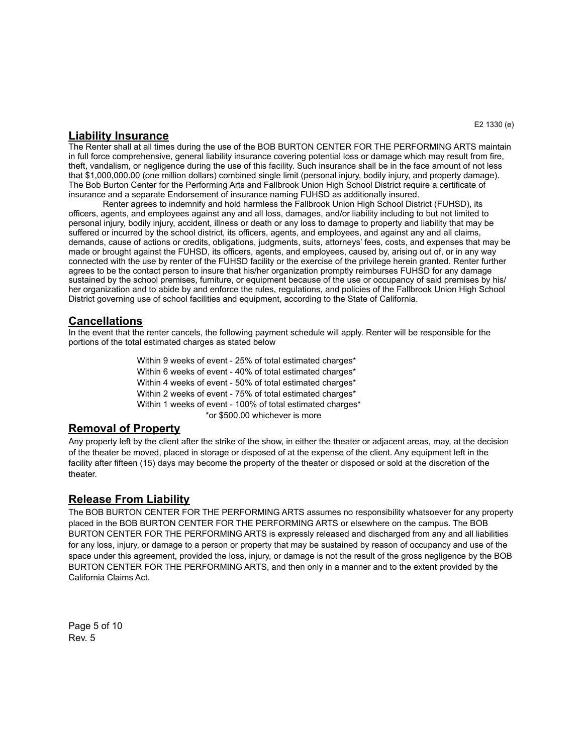### **Liability Insurance**

The Renter shall at all times during the use of the BOB BURTON CENTER FOR THE PERFORMING ARTS maintain in full force comprehensive, general liability insurance covering potential loss or damage which may result from fire, theft, vandalism, or negligence during the use of this facility. Such insurance shall be in the face amount of not less that \$1,000,000.00 (one million dollars) combined single limit (personal injury, bodily injury, and property damage). The Bob Burton Center for the Performing Arts and Fallbrook Union High School District require a certificate of insurance and a separate Endorsement of insurance naming FUHSD as additionally insured.

 Renter agrees to indemnify and hold harmless the Fallbrook Union High School District (FUHSD), its officers, agents, and employees against any and all loss, damages, and/or liability including to but not limited to personal injury, bodily injury, accident, illness or death or any loss to damage to property and liability that may be suffered or incurred by the school district, its officers, agents, and employees, and against any and all claims, demands, cause of actions or credits, obligations, judgments, suits, attorneys' fees, costs, and expenses that may be made or brought against the FUHSD, its officers, agents, and employees, caused by, arising out of, or in any way connected with the use by renter of the FUHSD facility or the exercise of the privilege herein granted. Renter further agrees to be the contact person to insure that his/her organization promptly reimburses FUHSD for any damage sustained by the school premises, furniture, or equipment because of the use or occupancy of said premises by his/ her organization and to abide by and enforce the rules, regulations, and policies of the Fallbrook Union High School District governing use of school facilities and equipment, according to the State of California.

## **Cancellations**

In the event that the renter cancels, the following payment schedule will apply. Renter will be responsible for the portions of the total estimated charges as stated below

> Within 9 weeks of event - 25% of total estimated charges\* Within 6 weeks of event - 40% of total estimated charges\* Within 4 weeks of event - 50% of total estimated charges\* Within 2 weeks of event - 75% of total estimated charges\* Within 1 weeks of event - 100% of total estimated charges\* \*or \$500.00 whichever is more

## **Removal of Property**

Any property left by the client after the strike of the show, in either the theater or adjacent areas, may, at the decision of the theater be moved, placed in storage or disposed of at the expense of the client. Any equipment left in the facility after fifteen (15) days may become the property of the theater or disposed or sold at the discretion of the theater.

## **Release From Liability**

The BOB BURTON CENTER FOR THE PERFORMING ARTS assumes no responsibility whatsoever for any property placed in the BOB BURTON CENTER FOR THE PERFORMING ARTS or elsewhere on the campus. The BOB BURTON CENTER FOR THE PERFORMING ARTS is expressly released and discharged from any and all liabilities for any loss, injury, or damage to a person or property that may be sustained by reason of occupancy and use of the space under this agreement, provided the loss, injury, or damage is not the result of the gross negligence by the BOB BURTON CENTER FOR THE PERFORMING ARTS, and then only in a manner and to the extent provided by the California Claims Act.

Page 5 of 10 Rev. 5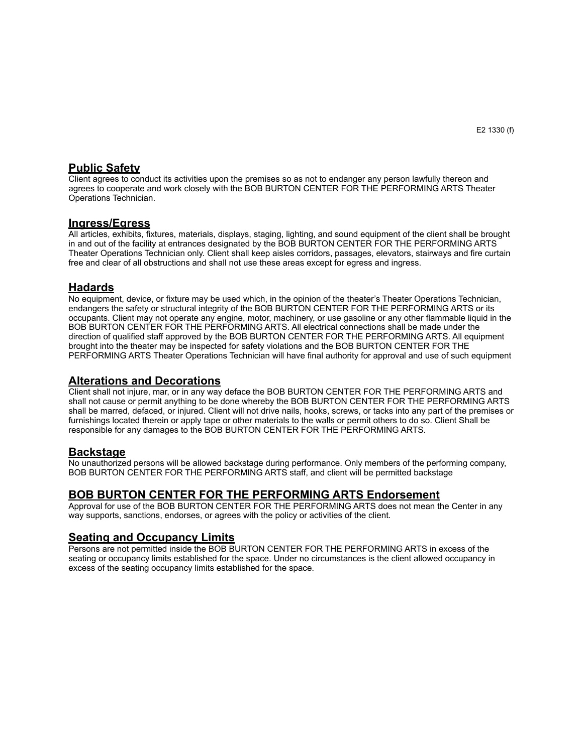## **Public Safety**

Client agrees to conduct its activities upon the premises so as not to endanger any person lawfully thereon and agrees to cooperate and work closely with the BOB BURTON CENTER FOR THE PERFORMING ARTS Theater Operations Technician.

### **Ingress/Egress**

All articles, exhibits, fixtures, materials, displays, staging, lighting, and sound equipment of the client shall be brought in and out of the facility at entrances designated by the BOB BURTON CENTER FOR THE PERFORMING ARTS Theater Operations Technician only. Client shall keep aisles corridors, passages, elevators, stairways and fire curtain free and clear of all obstructions and shall not use these areas except for egress and ingress.

### **Hadards**

No equipment, device, or fixture may be used which, in the opinion of the theater's Theater Operations Technician, endangers the safety or structural integrity of the BOB BURTON CENTER FOR THE PERFORMING ARTS or its occupants. Client may not operate any engine, motor, machinery, or use gasoline or any other flammable liquid in the BOB BURTON CENTER FOR THE PERFORMING ARTS. All electrical connections shall be made under the direction of qualified staff approved by the BOB BURTON CENTER FOR THE PERFORMING ARTS. All equipment brought into the theater may be inspected for safety violations and the BOB BURTON CENTER FOR THE PERFORMING ARTS Theater Operations Technician will have final authority for approval and use of such equipment

### **Alterations and Decorations**

Client shall not injure, mar, or in any way deface the BOB BURTON CENTER FOR THE PERFORMING ARTS and shall not cause or permit anything to be done whereby the BOB BURTON CENTER FOR THE PERFORMING ARTS shall be marred, defaced, or injured. Client will not drive nails, hooks, screws, or tacks into any part of the premises or furnishings located therein or apply tape or other materials to the walls or permit others to do so. Client Shall be responsible for any damages to the BOB BURTON CENTER FOR THE PERFORMING ARTS.

### **Backstage**

No unauthorized persons will be allowed backstage during performance. Only members of the performing company, BOB BURTON CENTER FOR THE PERFORMING ARTS staff, and client will be permitted backstage

## **BOB BURTON CENTER FOR THE PERFORMING ARTS Endorsement**

Approval for use of the BOB BURTON CENTER FOR THE PERFORMING ARTS does not mean the Center in any way supports, sanctions, endorses, or agrees with the policy or activities of the client.

### **Seating and Occupancy Limits**

Persons are not permitted inside the BOB BURTON CENTER FOR THE PERFORMING ARTS in excess of the seating or occupancy limits established for the space. Under no circumstances is the client allowed occupancy in excess of the seating occupancy limits established for the space.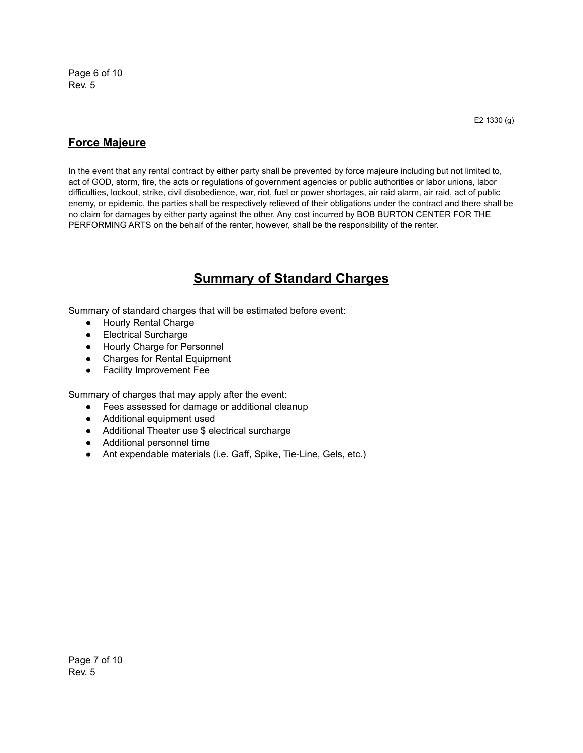Page 6 of 10 Rev. 5

## **Force Majeure**

In the event that any rental contract by either party shall be prevented by force majeure including but not limited to, act of GOD, storm, fire, the acts or regulations of government agencies or public authorities or labor unions, labor difficulties, lockout, strike, civil disobedience, war, riot, fuel or power shortages, air raid alarm, air raid, act of public enemy, or epidemic, the parties shall be respectively relieved of their obligations under the contract and there shall be no claim for damages by either party against the other. Any cost incurred by BOB BURTON CENTER FOR THE PERFORMING ARTS on the behalf of the renter, however, shall be the responsibility of the renter.

## **Summary of Standard Charges**

Summary of standard charges that will be estimated before event:

- Hourly Rental Charge
- Electrical Surcharge
- Hourly Charge for Personnel
- Charges for Rental Equipment
- Facility Improvement Fee

Summary of charges that may apply after the event:

- Fees assessed for damage or additional cleanup
- Additional equipment used
- Additional Theater use \$ electrical surcharge
- Additional personnel time
- Ant expendable materials (i.e. Gaff, Spike, Tie-Line, Gels, etc.)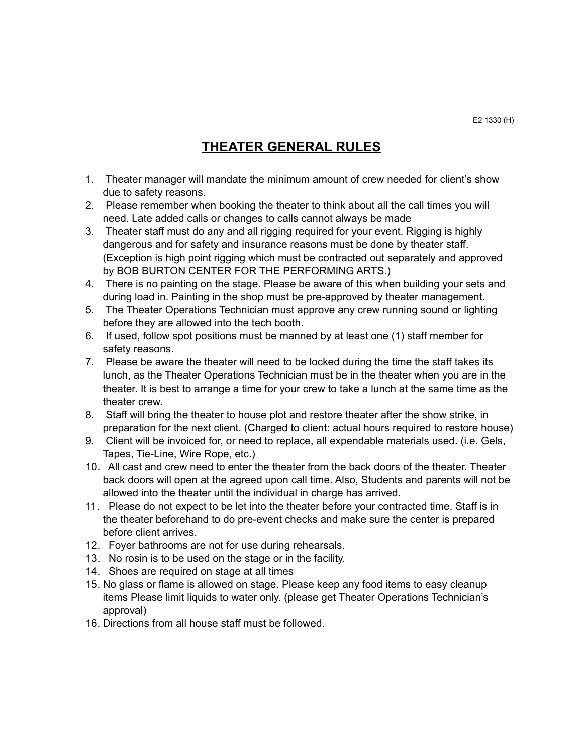## **THEATER GENERAL RULES**

- 1. Theater manager will mandate the minimum amount of crew needed for client's show due to safety reasons.
- 2. Please remember when booking the theater to think about all the call times you will need. Late added calls or changes to calls cannot always be made
- 3. Theater staff must do any and all rigging required for your event. Rigging is highly dangerous and for safety and insurance reasons must be done by theater staff. (Exception is high point rigging which must be contracted out separately and approved by BOB BURTON CENTER FOR THE PERFORMING ARTS.)
- 4. There is no painting on the stage. Please be aware of this when building your sets and during load in. Painting in the shop must be pre-approved by theater management.
- 5. The Theater Operations Technician must approve any crew running sound or lighting before they are allowed into the tech booth.
- 6. If used, follow spot positions must be manned by at least one (1) staff member for safety reasons.
- 7. Please be aware the theater will need to be locked during the time the staff takes its lunch, as the Theater Operations Technician must be in the theater when you are in the theater. It is best to arrange a time for your crew to take a lunch at the same time as the theater crew.
- 8. Staff will bring the theater to house plot and restore theater after the show strike, in preparation for the next client. (Charged to client: actual hours required to restore house)
- 9. Client will be invoiced for, or need to replace, all expendable materials used. (i.e. Gels, Tapes, Tie-Line, Wire Rope, etc.)
- 10. All cast and crew need to enter the theater from the back doors of the theater. Theater back doors will open at the agreed upon call time. Also, Students and parents will not be allowed into the theater until the individual in charge has arrived.
- 11. Please do not expect to be let into the theater before your contracted time. Staff is in the theater beforehand to do pre-event checks and make sure the center is prepared before client arrives.
- 12. Foyer bathrooms are not for use during rehearsals.
- 13. No rosin is to be used on the stage or in the facility.
- 14. Shoes are required on stage at all times
- 15. No glass or flame is allowed on stage. Please keep any food items to easy cleanup items Please limit liquids to water only. (please get Theater Operations Technician's approval)
- 16. Directions from all house staff must be followed.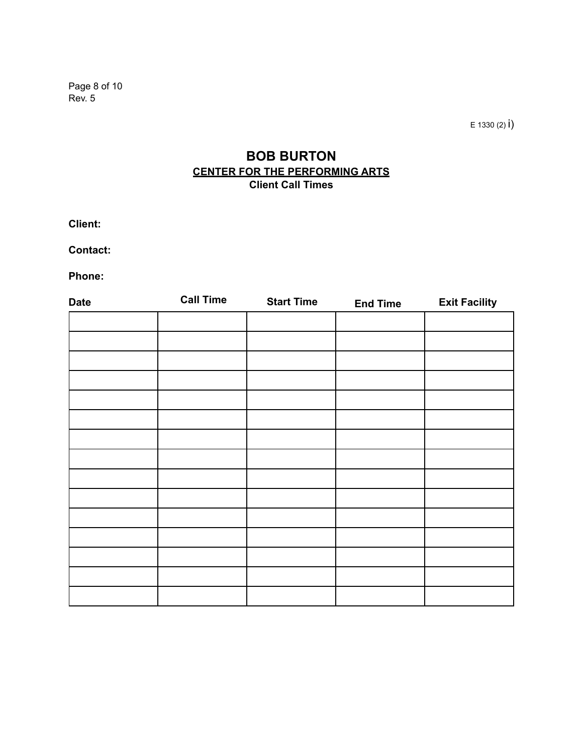Page 8 of 10 Rev. 5

 $E$  1330 (2)  $i)$ 

## **BOB BURTON CENTER FOR THE PERFORMING ARTS Client Call Times**

**Client:** 

**Contact:** 

**Phone:** 

| <b>Start Time</b> | <b>End Time</b> | <b>Exit Facility</b> |
|-------------------|-----------------|----------------------|
|                   |                 |                      |
|                   |                 |                      |
|                   |                 |                      |
|                   |                 |                      |
|                   |                 |                      |
|                   |                 |                      |
|                   |                 |                      |
|                   |                 |                      |
|                   |                 |                      |
|                   |                 |                      |
|                   |                 |                      |
|                   |                 |                      |
|                   |                 |                      |
|                   |                 |                      |
|                   |                 |                      |
|                   |                 |                      |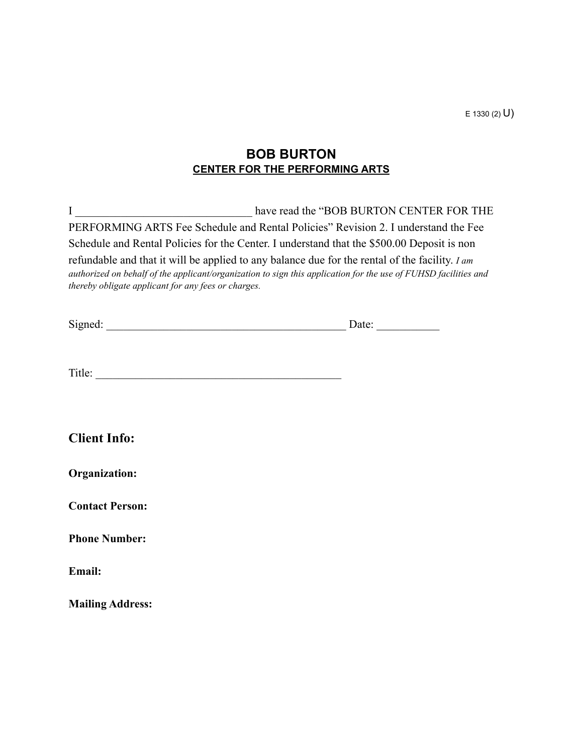$E$  1330 (2)  $U$ )

## **BOB BURTON CENTER FOR THE PERFORMING ARTS**

I have read the "BOB BURTON CENTER FOR THE PERFORMING ARTS Fee Schedule and Rental Policies" Revision 2. I understand the Fee Schedule and Rental Policies for the Center. I understand that the \$500.00 Deposit is non refundable and that it will be applied to any balance due for the rental of the facility. *I am authorized on behalf of the applicant/organization to sign this application for the use of FUHSD facilities and thereby obligate applicant for any fees or charges.* 

| $\sim$<br><br>512<br>mec | 'ale |  |
|--------------------------|------|--|
|                          |      |  |

Title: \_\_\_\_\_\_\_\_\_\_\_\_\_\_\_\_\_\_\_\_\_\_\_\_\_\_\_\_\_\_\_\_\_\_\_\_\_\_\_\_\_\_\_

| <b>Client Info:</b> |  |
|---------------------|--|
|---------------------|--|

| Organization: |
|---------------|
|---------------|

**Contact Person:** 

**Phone Number:** 

**Email:** 

**Mailing Address:**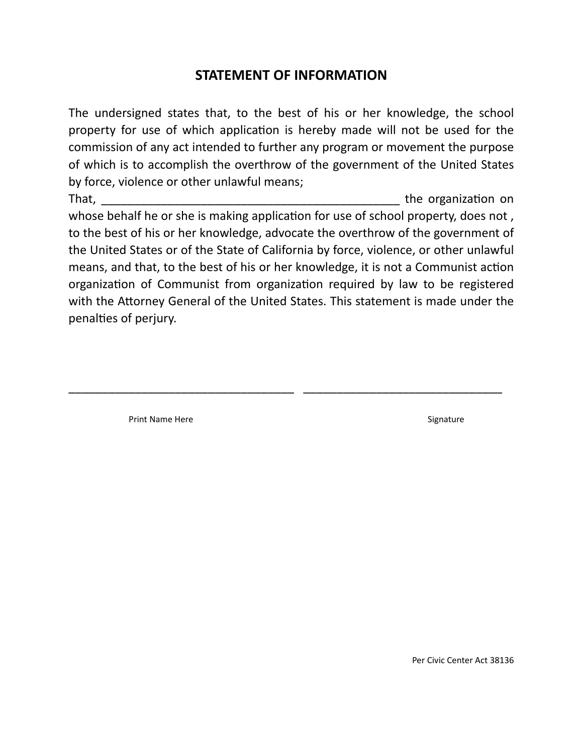## **STATEMENT OF INFORMATION**

The undersigned states that, to the best of his or her knowledge, the school property for use of which application is hereby made will not be used for the commission of any act intended to further any program or movement the purpose of which is to accomplish the overthrow of the government of the United States by force, violence or other unlawful means;

That, the organization on the structure of the organization on the organization on the organization on the organization on the organization on the organization on the organization on the organization on the organization on whose behalf he or she is making application for use of school property, does not, to the best of his or her knowledge, advocate the overthrow of the government of the United States or of the State of California by force, violence, or other unlawful means, and that, to the best of his or her knowledge, it is not a Communist action organization of Communist from organization required by law to be registered with the Attorney General of the United States. This statement is made under the penalties of perjury.

\_\_\_\_\_\_\_\_\_\_\_\_\_\_\_\_\_\_\_\_\_\_\_\_\_\_\_\_\_\_\_\_\_\_ \_\_\_\_\_\_\_\_\_\_\_\_\_\_\_\_\_\_\_\_\_\_\_\_\_\_\_\_\_\_

Print Name Here Signature Signature

Per Civic Center Act 38136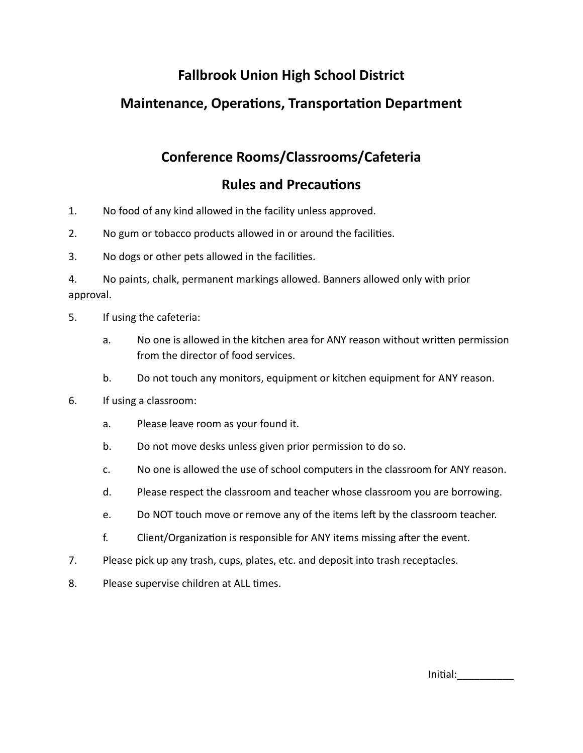# **Fallbrook Union High School District**

# **Maintenance, Operations, Transportation Department**

# **Conference Rooms/Classrooms/Cafeteria**

## **Rules and Precautions**

- 1. No food of any kind allowed in the facility unless approved.
- 2. No gum or tobacco products allowed in or around the facilities.
- 3. No dogs or other pets allowed in the facilities.

4. No paints, chalk, permanent markings allowed. Banners allowed only with prior approval.

- 5. If using the cafeteria:
	- a. No one is allowed in the kitchen area for ANY reason without written permission from the director of food services.
	- b. Do not touch any monitors, equipment or kitchen equipment for ANY reason.
- 6. If using a classroom:
	- a. Please leave room as your found it.
	- b. Do not move desks unless given prior permission to do so.
	- c. No one is allowed the use of school computers in the classroom for ANY reason.
	- d. Please respect the classroom and teacher whose classroom you are borrowing.
	- e. Do NOT touch move or remove any of the items left by the classroom teacher.
	- f. Client/Organization is responsible for ANY items missing after the event.
- 7. Please pick up any trash, cups, plates, etc. and deposit into trash receptacles.
- 8. Please supervise children at ALL times.

Initial: